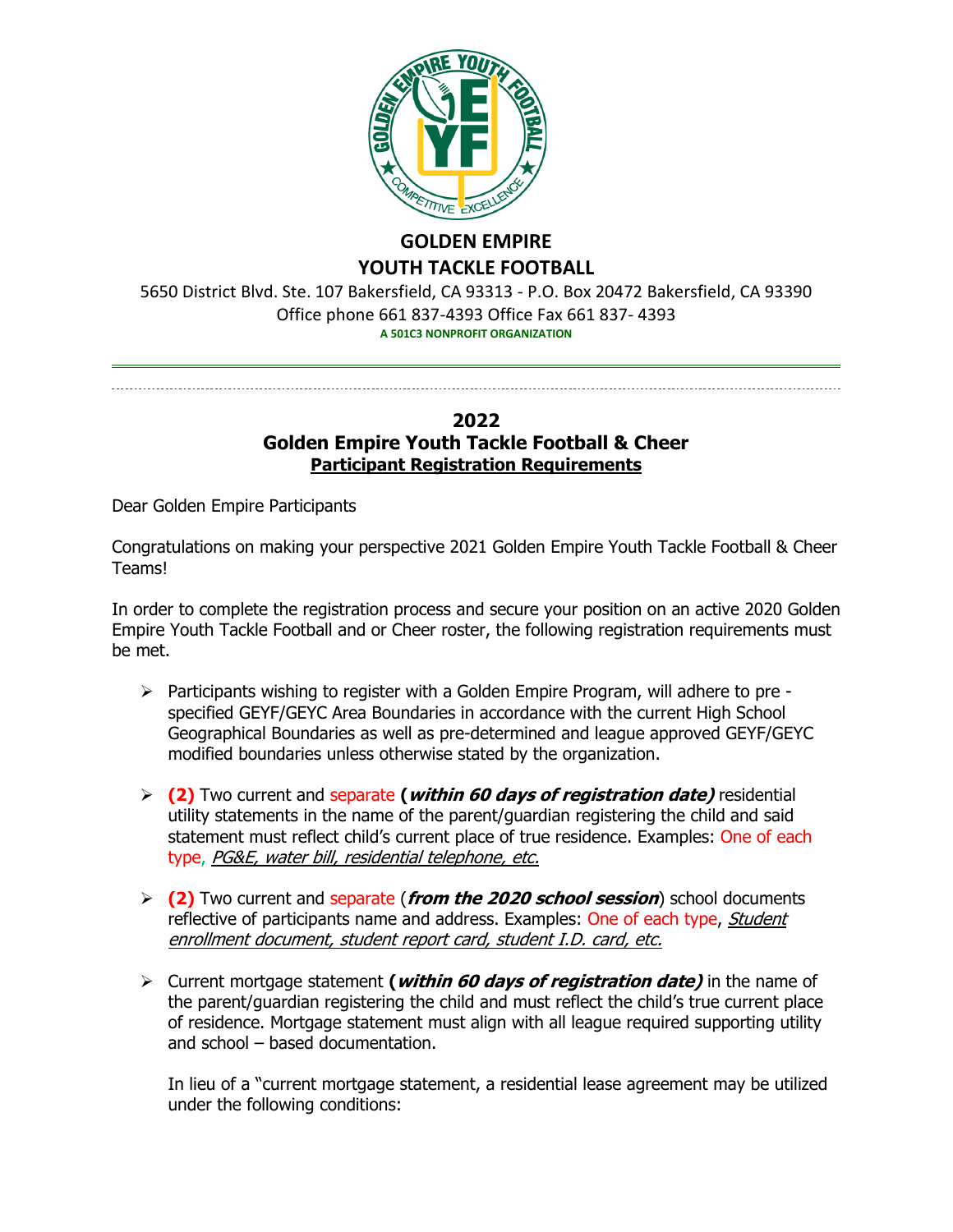

# **GOLDEN EMPIRE YOUTH TACKLE FOOTBALL**

5650 District Blvd. Ste. 107 Bakersfield, CA 93313 - P.O. Box 20472 Bakersfield, CA 93390 Office phone 661 837-4393 Office Fax 661 837- 4393 **A 501C3 NONPROFIT ORGANIZATION**

## **2022 Golden Empire Youth Tackle Football & Cheer Participant Registration Requirements**

Dear Golden Empire Participants

Congratulations on making your perspective 2021 Golden Empire Youth Tackle Football & Cheer Teams!

In order to complete the registration process and secure your position on an active 2020 Golden Empire Youth Tackle Football and or Cheer roster, the following registration requirements must be met.

- ➢ Participants wishing to register with a Golden Empire Program, will adhere to pre specified GEYF/GEYC Area Boundaries in accordance with the current High School Geographical Boundaries as well as pre-determined and league approved GEYF/GEYC modified boundaries unless otherwise stated by the organization.
- ➢ **(2)** Two current and separate **(within 60 days of registration date)** residential utility statements in the name of the parent/guardian registering the child and said statement must reflect child's current place of true residence. Examples: One of each type, PG&E, water bill, residential telephone, etc.
- ➢ **(2)** Two current and separate (**from the 2020 school session**) school documents reflective of participants name and address. Examples: One of each type, Student enrollment document, student report card, student I.D. card, etc.
- ➢ Current mortgage statement **(within 60 days of registration date)** in the name of the parent/guardian registering the child and must reflect the child's true current place of residence. Mortgage statement must align with all league required supporting utility and school – based documentation.

In lieu of a "current mortgage statement, a residential lease agreement may be utilized under the following conditions: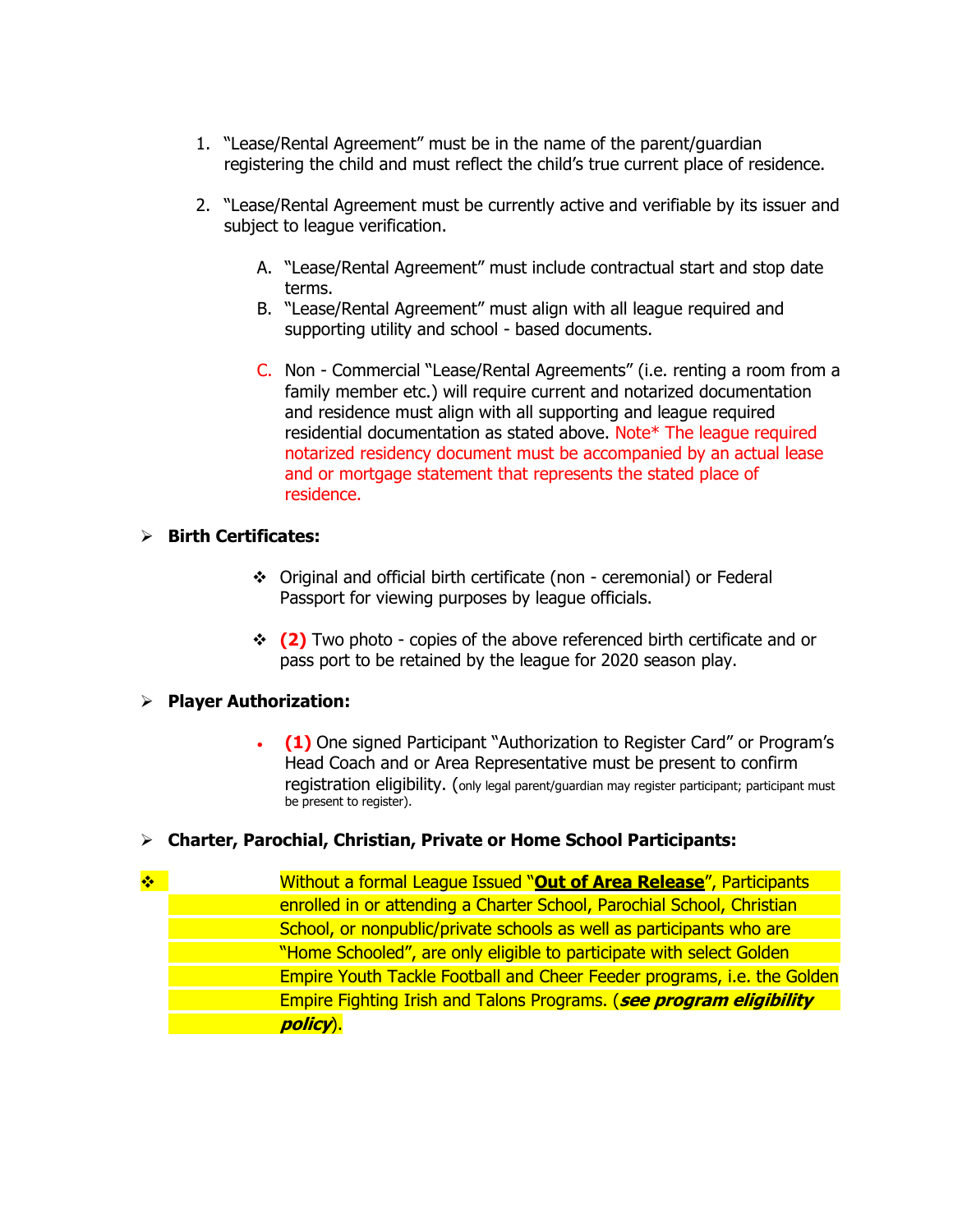- 1. "Lease/Rental Agreement" must be in the name of the parent/guardian registering the child and must reflect the child's true current place of residence.
- 2. "Lease/Rental Agreement must be currently active and verifiable by its issuer and subject to league verification.
	- A. "Lease/Rental Agreement" must include contractual start and stop date terms.
	- B. "Lease/Rental Agreement" must align with all league required and supporting utility and school - based documents.
	- C. Non Commercial "Lease/Rental Agreements" (i.e. renting a room from a family member etc.) will require current and notarized documentation and residence must align with all supporting and league required residential documentation as stated above. Note\* The league required notarized residency document must be accompanied by an actual lease and or mortgage statement that represents the stated place of residence.

## ➢ **Birth Certificates:**

- ❖ Original and official birth certificate (non ceremonial) or Federal Passport for viewing purposes by league officials.
- ❖ **(2)** Two photo copies of the above referenced birth certificate and or pass port to be retained by the league for 2020 season play.

### ➢ **Player Authorization:**

• **(1)** One signed Participant "Authorization to Register Card" or Program's Head Coach and or Area Representative must be present to confirm registration eligibility. (only legal parent/guardian may register participant; participant must be present to register).

### ➢ **Charter, Parochial, Christian, Private or Home School Participants:**

❖ Without a formal League Issued "**Out of Area Release**", Participants enrolled in or attending a Charter School, Parochial School, Christian School, or nonpublic/private schools as well as participants who are "Home Schooled", are only eligible to participate with select Golden Empire Youth Tackle Football and Cheer Feeder programs, i.e. the Golden Empire Fighting Irish and Talons Programs. (**see program eligibility policy**).